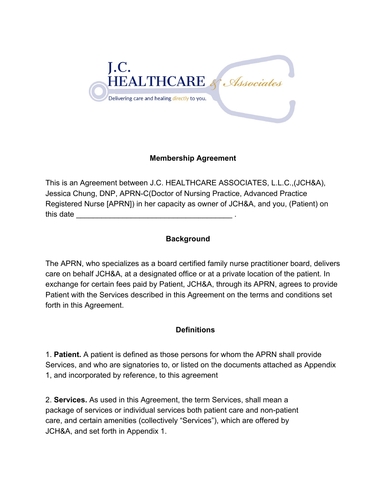

# **Membership Agreement**

This is an Agreement between J.C. HEALTHCARE ASSOCIATES, L.L.C.,(JCH&A), Jessica Chung, DNP, APRN-C(Doctor of Nursing Practice, Advanced Practice Registered Nurse [APRN]) in her capacity as owner of JCH&A, and you, (Patient) on this date

## **Background**

The APRN, who specializes as a board certified family nurse practitioner board, delivers care on behalf JCH&A, at a designated office or at a private location of the patient. In exchange for certain fees paid by Patient, JCH&A, through its APRN, agrees to provide Patient with the Services described in this Agreement on the terms and conditions set forth in this Agreement.

## **Definitions**

1. **Patient.** A patient is defined as those persons for whom the APRN shall provide Services, and who are signatories to, or listed on the documents attached as Appendix 1, and incorporated by reference, to this agreement

2. **Services.** As used in this Agreement, the term Services, shall mean a package of services or individual services both patient care and non-patient care, and certain amenities (collectively "Services"), which are offered by JCH&A, and set forth in Appendix 1.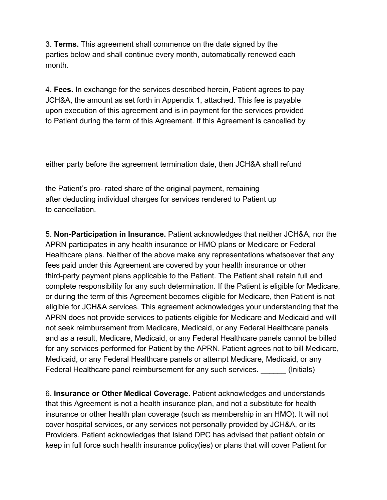3. **Terms.** This agreement shall commence on the date signed by the parties below and shall continue every month, automatically renewed each month.

4. **Fees.** In exchange for the services described herein, Patient agrees to pay JCH&A, the amount as set forth in Appendix 1, attached. This fee is payable upon execution of this agreement and is in payment for the services provided to Patient during the term of this Agreement. If this Agreement is cancelled by

either party before the agreement termination date, then JCH&A shall refund

the Patient's pro- rated share of the original payment, remaining after deducting individual charges for services rendered to Patient up to cancellation.

5. **Non-Participation in Insurance.** Patient acknowledges that neither JCH&A, nor the APRN participates in any health insurance or HMO plans or Medicare or Federal Healthcare plans. Neither of the above make any representations whatsoever that any fees paid under this Agreement are covered by your health insurance or other third-party payment plans applicable to the Patient. The Patient shall retain full and complete responsibility for any such determination. If the Patient is eligible for Medicare, or during the term of this Agreement becomes eligible for Medicare, then Patient is not eligible for JCH&A services. This agreement acknowledges your understanding that the APRN does not provide services to patients eligible for Medicare and Medicaid and will not seek reimbursement from Medicare, Medicaid, or any Federal Healthcare panels and as a result, Medicare, Medicaid, or any Federal Healthcare panels cannot be billed for any services performed for Patient by the APRN. Patient agrees not to bill Medicare, Medicaid, or any Federal Healthcare panels or attempt Medicare, Medicaid, or any Federal Healthcare panel reimbursement for any such services. (Initials)

6. **Insurance or Other Medical Coverage.** Patient acknowledges and understands that this Agreement is not a health insurance plan, and not a substitute for health insurance or other health plan coverage (such as membership in an HMO). It will not cover hospital services, or any services not personally provided by JCH&A, or its Providers. Patient acknowledges that Island DPC has advised that patient obtain or keep in full force such health insurance policy(ies) or plans that will cover Patient for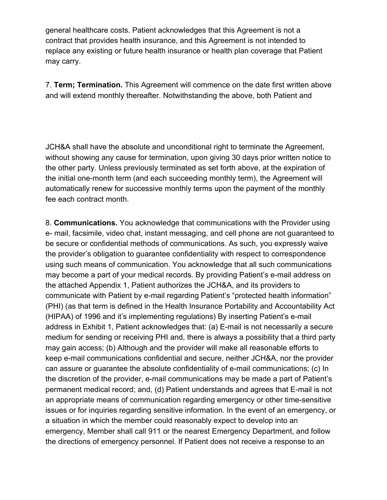general healthcare costs. Patient acknowledges that this Agreement is not a contract that provides health insurance, and this Agreement is not intended to replace any existing or future health insurance or health plan coverage that Patient may carry.

7. **Term; Termination.** This Agreement will commence on the date first written above and will extend monthly thereafter. Notwithstanding the above, both Patient and

JCH&A shall have the absolute and unconditional right to terminate the Agreement, without showing any cause for termination, upon giving 30 days prior written notice to the other party. Unless previously terminated as set forth above, at the expiration of the initial one-month term (and each succeeding monthly term), the Agreement will automatically renew for successive monthly terms upon the payment of the monthly fee each contract month.

8. **Communications.** You acknowledge that communications with the Provider using e- mail, facsimile, video chat, instant messaging, and cell phone are not guaranteed to be secure or confidential methods of communications. As such, you expressly waive the provider's obligation to guarantee confidentiality with respect to correspondence using such means of communication. You acknowledge that all such communications may become a part of your medical records. By providing Patient's e-mail address on the attached Appendix 1, Patient authorizes the JCH&A, and its providers to communicate with Patient by e-mail regarding Patient's "protected health information" (PHI) (as that term is defined in the Health Insurance Portability and Accountability Act (HIPAA) of 1996 and it's implementing regulations) By inserting Patient's e-mail address in Exhibit 1, Patient acknowledges that: (a) E-mail is not necessarily a secure medium for sending or receiving PHI and, there is always a possibility that a third party may gain access; (b) Although and the provider will make all reasonable efforts to keep e-mail communications confidential and secure, neither JCH&A, nor the provider can assure or guarantee the absolute confidentiality of e-mail communications; (c) In the discretion of the provider, e-mail communications may be made a part of Patient's permanent medical record; and, (d) Patient understands and agrees that E-mail is not an appropriate means of communication regarding emergency or other time-sensitive issues or for inquiries regarding sensitive information. In the event of an emergency, or a situation in which the member could reasonably expect to develop into an emergency, Member shall call 911 or the nearest Emergency Department, and follow the directions of emergency personnel. If Patient does not receive a response to an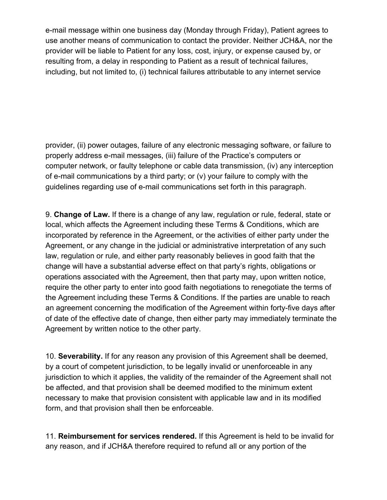e-mail message within one business day (Monday through Friday), Patient agrees to use another means of communication to contact the provider. Neither JCH&A, nor the provider will be liable to Patient for any loss, cost, injury, or expense caused by, or resulting from, a delay in responding to Patient as a result of technical failures, including, but not limited to, (i) technical failures attributable to any internet service

provider, (ii) power outages, failure of any electronic messaging software, or failure to properly address e-mail messages, (iii) failure of the Practice's computers or computer network, or faulty telephone or cable data transmission, (iv) any interception of e-mail communications by a third party; or (v) your failure to comply with the guidelines regarding use of e-mail communications set forth in this paragraph.

9. **Change of Law.** If there is a change of any law, regulation or rule, federal, state or local, which affects the Agreement including these Terms & Conditions, which are incorporated by reference in the Agreement, or the activities of either party under the Agreement, or any change in the judicial or administrative interpretation of any such law, regulation or rule, and either party reasonably believes in good faith that the change will have a substantial adverse effect on that party's rights, obligations or operations associated with the Agreement, then that party may, upon written notice, require the other party to enter into good faith negotiations to renegotiate the terms of the Agreement including these Terms & Conditions. If the parties are unable to reach an agreement concerning the modification of the Agreement within forty-five days after of date of the effective date of change, then either party may immediately terminate the Agreement by written notice to the other party.

10. **Severability.** If for any reason any provision of this Agreement shall be deemed, by a court of competent jurisdiction, to be legally invalid or unenforceable in any jurisdiction to which it applies, the validity of the remainder of the Agreement shall not be affected, and that provision shall be deemed modified to the minimum extent necessary to make that provision consistent with applicable law and in its modified form, and that provision shall then be enforceable.

11. **Reimbursement for services rendered.** If this Agreement is held to be invalid for any reason, and if JCH&A therefore required to refund all or any portion of the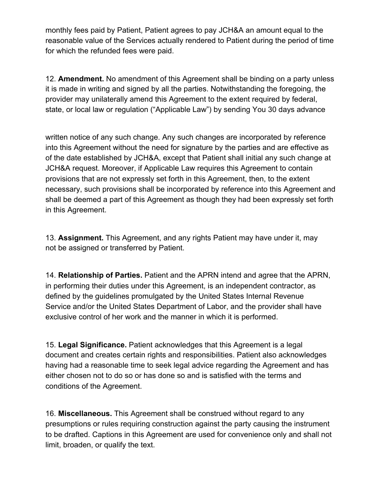monthly fees paid by Patient, Patient agrees to pay JCH&A an amount equal to the reasonable value of the Services actually rendered to Patient during the period of time for which the refunded fees were paid.

12. **Amendment.** No amendment of this Agreement shall be binding on a party unless it is made in writing and signed by all the parties. Notwithstanding the foregoing, the provider may unilaterally amend this Agreement to the extent required by federal, state, or local law or regulation ("Applicable Law") by sending You 30 days advance

written notice of any such change. Any such changes are incorporated by reference into this Agreement without the need for signature by the parties and are effective as of the date established by JCH&A, except that Patient shall initial any such change at JCH&A request. Moreover, if Applicable Law requires this Agreement to contain provisions that are not expressly set forth in this Agreement, then, to the extent necessary, such provisions shall be incorporated by reference into this Agreement and shall be deemed a part of this Agreement as though they had been expressly set forth in this Agreement.

13. **Assignment.** This Agreement, and any rights Patient may have under it, may not be assigned or transferred by Patient.

14. **Relationship of Parties.** Patient and the APRN intend and agree that the APRN, in performing their duties under this Agreement, is an independent contractor, as defined by the guidelines promulgated by the United States Internal Revenue Service and/or the United States Department of Labor, and the provider shall have exclusive control of her work and the manner in which it is performed.

15. **Legal Significance.** Patient acknowledges that this Agreement is a legal document and creates certain rights and responsibilities. Patient also acknowledges having had a reasonable time to seek legal advice regarding the Agreement and has either chosen not to do so or has done so and is satisfied with the terms and conditions of the Agreement.

16. **Miscellaneous.** This Agreement shall be construed without regard to any presumptions or rules requiring construction against the party causing the instrument to be drafted. Captions in this Agreement are used for convenience only and shall not limit, broaden, or qualify the text.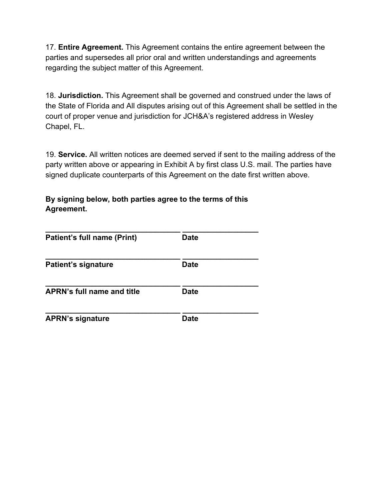17. **Entire Agreement.** This Agreement contains the entire agreement between the parties and supersedes all prior oral and written understandings and agreements regarding the subject matter of this Agreement.

18. **Jurisdiction.** This Agreement shall be governed and construed under the laws of the State of Florida and All disputes arising out of this Agreement shall be settled in the court of proper venue and jurisdiction for JCH&A's registered address in Wesley Chapel, FL.

19. **Service.** All written notices are deemed served if sent to the mailing address of the party written above or appearing in Exhibit A by first class U.S. mail. The parties have signed duplicate counterparts of this Agreement on the date first written above.

**By signing below, both parties agree to the terms of this Agreement.**

| Patient's full name (Print)       | <b>Date</b> |  |
|-----------------------------------|-------------|--|
| <b>Patient's signature</b>        | <b>Date</b> |  |
| <b>APRN's full name and title</b> | <b>Date</b> |  |
| <b>APRN's signature</b>           | <b>Date</b> |  |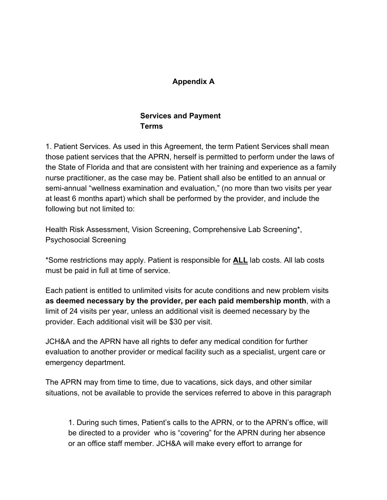### **Appendix A**

# **Services and Payment Terms**

1. Patient Services. As used in this Agreement, the term Patient Services shall mean those patient services that the APRN, herself is permitted to perform under the laws of the State of Florida and that are consistent with her training and experience as a family nurse practitioner, as the case may be. Patient shall also be entitled to an annual or semi-annual "wellness examination and evaluation," (no more than two visits per year at least 6 months apart) which shall be performed by the provider, and include the following but not limited to:

Health Risk Assessment, Vision Screening, Comprehensive Lab Screening\*, Psychosocial Screening

\*Some restrictions may apply. Patient is responsible for **ALL** lab costs. All lab costs must be paid in full at time of service.

Each patient is entitled to unlimited visits for acute conditions and new problem visits **as deemed necessary by the provider, per each paid membership month**, with a limit of 24 visits per year, unless an additional visit is deemed necessary by the provider. Each additional visit will be \$30 per visit.

JCH&A and the APRN have all rights to defer any medical condition for further evaluation to another provider or medical facility such as a specialist, urgent care or emergency department.

The APRN may from time to time, due to vacations, sick days, and other similar situations, not be available to provide the services referred to above in this paragraph

1. During such times, Patient's calls to the APRN, or to the APRN's office, will be directed to a provider who is "covering" for the APRN during her absence or an office staff member. JCH&A will make every effort to arrange for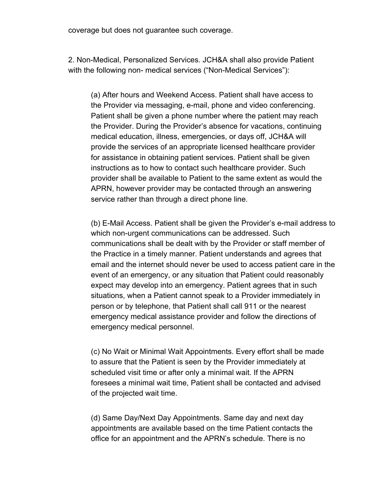coverage but does not guarantee such coverage.

2. Non-Medical, Personalized Services. JCH&A shall also provide Patient with the following non- medical services ("Non-Medical Services"):

(a) After hours and Weekend Access. Patient shall have access to the Provider via messaging, e-mail, phone and video conferencing. Patient shall be given a phone number where the patient may reach the Provider. During the Provider's absence for vacations, continuing medical education, illness, emergencies, or days off, JCH&A will provide the services of an appropriate licensed healthcare provider for assistance in obtaining patient services. Patient shall be given instructions as to how to contact such healthcare provider. Such provider shall be available to Patient to the same extent as would the APRN, however provider may be contacted through an answering service rather than through a direct phone line.

(b) E-Mail Access. Patient shall be given the Provider's e-mail address to which non-urgent communications can be addressed. Such communications shall be dealt with by the Provider or staff member of the Practice in a timely manner. Patient understands and agrees that email and the internet should never be used to access patient care in the event of an emergency, or any situation that Patient could reasonably expect may develop into an emergency. Patient agrees that in such situations, when a Patient cannot speak to a Provider immediately in person or by telephone, that Patient shall call 911 or the nearest emergency medical assistance provider and follow the directions of emergency medical personnel.

(c) No Wait or Minimal Wait Appointments. Every effort shall be made to assure that the Patient is seen by the Provider immediately at scheduled visit time or after only a minimal wait. If the APRN foresees a minimal wait time, Patient shall be contacted and advised of the projected wait time.

(d) Same Day/Next Day Appointments. Same day and next day appointments are available based on the time Patient contacts the office for an appointment and the APRN's schedule. There is no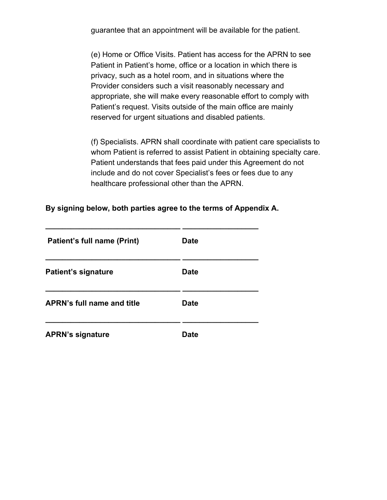guarantee that an appointment will be available for the patient.

(e) Home or Office Visits. Patient has access for the APRN to see Patient in Patient's home, office or a location in which there is privacy, such as a hotel room, and in situations where the Provider considers such a visit reasonably necessary and appropriate, she will make every reasonable effort to comply with Patient's request. Visits outside of the main office are mainly reserved for urgent situations and disabled patients.

(f) Specialists. APRN shall coordinate with patient care specialists to whom Patient is referred to assist Patient in obtaining specialty care. Patient understands that fees paid under this Agreement do not include and do not cover Specialist's fees or fees due to any healthcare professional other than the APRN.

**By signing below, both parties agree to the terms of Appendix A.**

| <b>Patient's full name (Print)</b> | Date |  |
|------------------------------------|------|--|
| <b>Patient's signature</b>         | Date |  |
| <b>APRN's full name and title</b>  | Date |  |
| <b>APRN's signature</b>            | Date |  |

**\_\_\_\_\_\_\_\_\_\_\_\_\_\_\_\_\_\_\_\_\_\_\_\_\_\_\_\_\_\_\_\_ \_\_\_\_\_\_\_\_\_\_\_\_\_\_\_\_\_\_**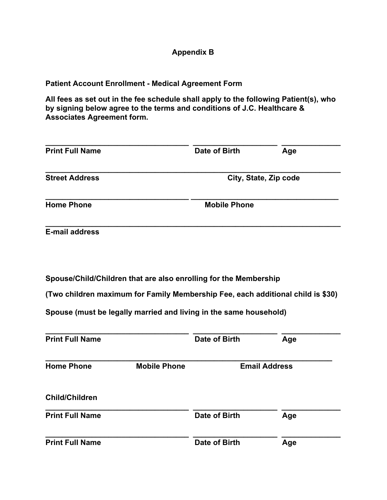## **Appendix B**

**Patient Account Enrollment - Medical Agreement Form**

**All fees as set out in the fee schedule shall apply to the following Patient(s), who by signing below agree to the terms and conditions of J.C. Healthcare & Associates Agreement form.**

| <b>Print Full Name</b> | Date of Birth       | Age                   |
|------------------------|---------------------|-----------------------|
| <b>Street Address</b>  |                     | City, State, Zip code |
| <b>Home Phone</b>      | <b>Mobile Phone</b> |                       |
| <b>E-mail address</b>  |                     |                       |

**Spouse/Child/Children that are also enrolling for the Membership**

**(Two children maximum for Family Membership Fee, each additional child is \$30)**

**Spouse (must be legally married and living in the same household)**

| <b>Print Full Name</b> |                     | Date of Birth | Age                  |
|------------------------|---------------------|---------------|----------------------|
| <b>Home Phone</b>      | <b>Mobile Phone</b> |               | <b>Email Address</b> |
| <b>Child/Children</b>  |                     |               |                      |
| <b>Print Full Name</b> |                     | Date of Birth | Age                  |
| <b>Print Full Name</b> |                     | Date of Birth | Age                  |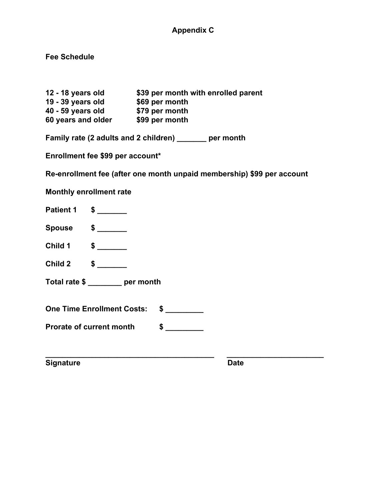# **Appendix C**

**Fee Schedule**

| 12 - 18 years old  | \$39 per month with enrolled parent |
|--------------------|-------------------------------------|
| 19 - 39 years old  | \$69 per month                      |
| 40 - 59 years old  | \$79 per month                      |
| 60 years and older | \$99 per month                      |

**Family rate (2 adults and 2 children) \_\_\_\_\_\_\_ per month**

**Enrollment fee \$99 per account\***

**Re-enrollment fee (after one month unpaid membership) \$99 per account**

**\_\_\_\_\_\_\_\_\_\_\_\_\_\_\_\_\_\_\_\_\_\_\_\_\_\_\_\_\_\_\_\_\_\_\_\_\_\_\_\_ \_\_\_\_\_\_\_\_\_\_\_\_\_\_\_\_\_\_\_\_\_\_\_**

**Monthly enrollment rate**

- **Patient 1 \$ \_\_\_\_\_\_\_**
- **Spouse \$ \_\_\_\_\_\_\_**
- **Child 1 \$ \_\_\_\_\_\_\_**
- **Child 2 \$ \_\_\_\_\_\_\_**

**Total rate \$ \_\_\_\_\_\_\_\_ per month**

**One Time Enrollment Costs: \$ \_\_\_\_\_\_\_\_\_**

**Prorate of current month**  $\frac{1}{2}$ 

**Signature Date**